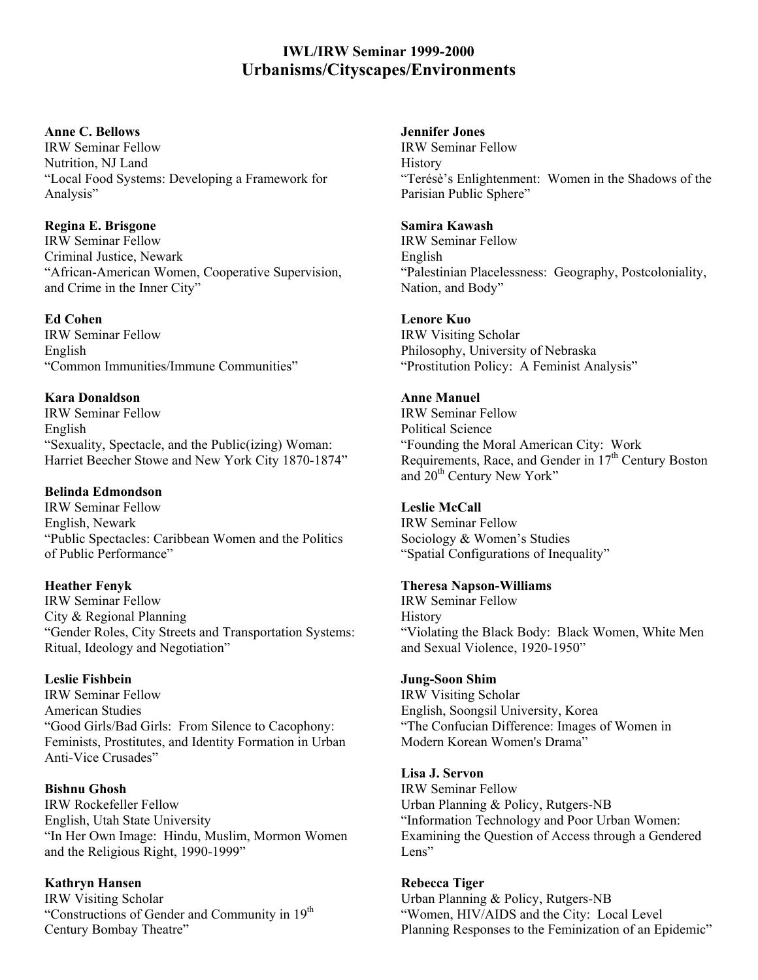# **IWL/IRW Seminar 1999-2000 Urbanisms/Cityscapes/Environments**

#### **Anne C. Bellows**

IRW Seminar Fellow Nutrition, NJ Land "Local Food Systems: Developing a Framework for Analysis"

### **Regina E. Brisgone**

IRW Seminar Fellow Criminal Justice, Newark "African-American Women, Cooperative Supervision, and Crime in the Inner City"

#### **Ed Cohen**

IRW Seminar Fellow English "Common Immunities/Immune Communities"

## **Kara Donaldson**

IRW Seminar Fellow English "Sexuality, Spectacle, and the Public(izing) Woman: Harriet Beecher Stowe and New York City 1870-1874"

#### **Belinda Edmondson**

IRW Seminar Fellow English, Newark "Public Spectacles: Caribbean Women and the Politics of Public Performance"

## **Heather Fenyk**

IRW Seminar Fellow City & Regional Planning "Gender Roles, City Streets and Transportation Systems: Ritual, Ideology and Negotiation"

## **Leslie Fishbein**

IRW Seminar Fellow American Studies "Good Girls/Bad Girls: From Silence to Cacophony: Feminists, Prostitutes, and Identity Formation in Urban Anti-Vice Crusades"

## **Bishnu Ghosh**

IRW Rockefeller Fellow English, Utah State University "In Her Own Image: Hindu, Muslim, Mormon Women and the Religious Right, 1990-1999"

## **Kathryn Hansen**

IRW Visiting Scholar "Constructions of Gender and Community in 19<sup>th</sup> Century Bombay Theatre"

#### **Jennifer Jones**

IRW Seminar Fellow **History** "Terésè's Enlightenment: Women in the Shadows of the Parisian Public Sphere"

#### **Samira Kawash**

IRW Seminar Fellow English "Palestinian Placelessness: Geography, Postcoloniality, Nation, and Body"

#### **Lenore Kuo**

IRW Visiting Scholar Philosophy, University of Nebraska "Prostitution Policy: A Feminist Analysis"

## **Anne Manuel**

IRW Seminar Fellow Political Science "Founding the Moral American City: Work Requirements, Race, and Gender in 17<sup>th</sup> Century Boston and 20<sup>th</sup> Century New York"

## **Leslie McCall**

IRW Seminar Fellow Sociology & Women's Studies "Spatial Configurations of Inequality"

## **Theresa Napson-Williams**

IRW Seminar Fellow **History** "Violating the Black Body: Black Women, White Men and Sexual Violence, 1920-1950"

#### **Jung-Soon Shim**

IRW Visiting Scholar English, Soongsil University, Korea "The Confucian Difference: Images of Women in Modern Korean Women's Drama"

#### **Lisa J. Servon**

IRW Seminar Fellow Urban Planning & Policy, Rutgers-NB "Information Technology and Poor Urban Women: Examining the Question of Access through a Gendered Lens"

#### **Rebecca Tiger**

Urban Planning & Policy, Rutgers-NB "Women, HIV/AIDS and the City: Local Level Planning Responses to the Feminization of an Epidemic"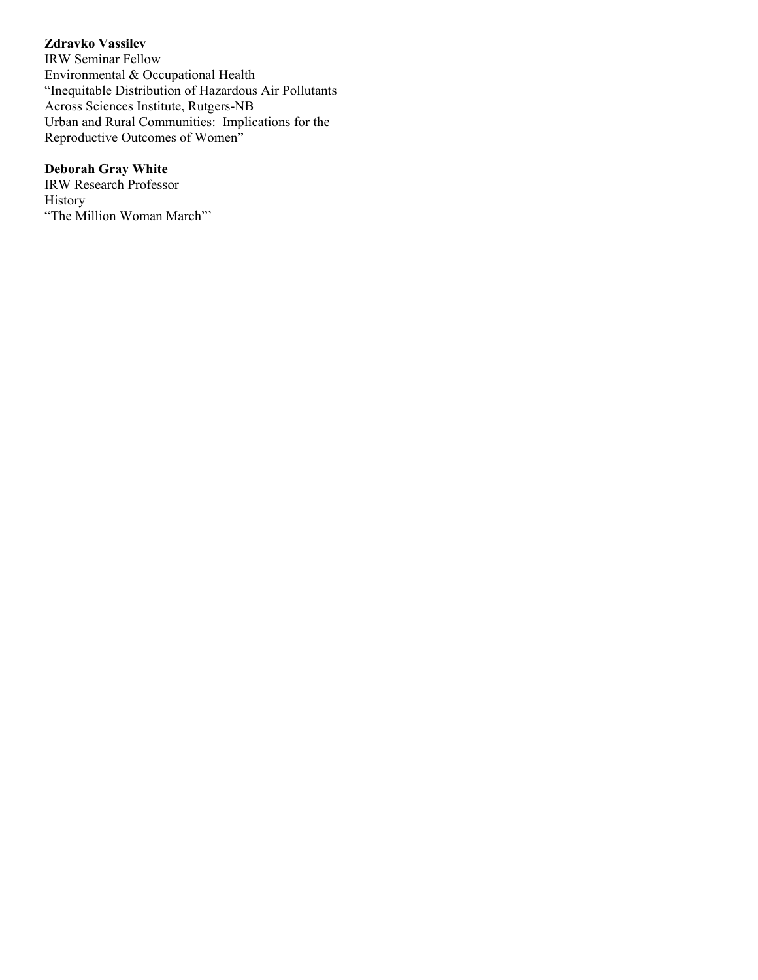## **Zdravko Vassilev**

IRW Seminar Fellow Environmental & Occupational Health "Inequitable Distribution of Hazardous Air Pollutants Across Sciences Institute, Rutgers-NB Urban and Rural Communities: Implications for the Reproductive Outcomes of Women"

## **Deborah Gray White**

IRW Research Professor History "The Million Woman March"'